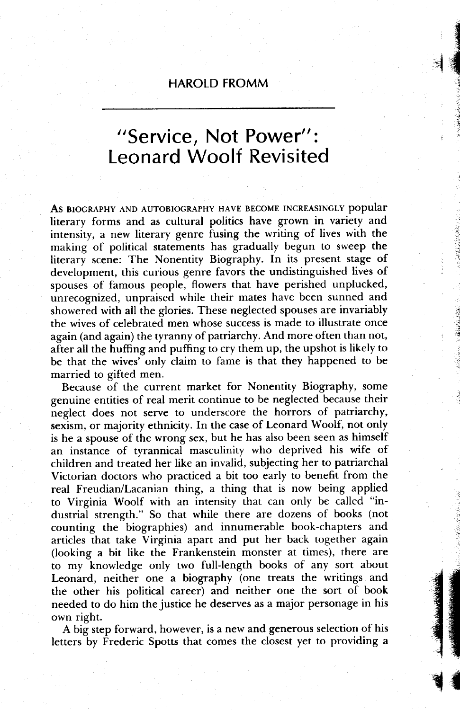## HAROLD FROMM

**CONTROL** the second  $\frac{1}{2}$ 

> t :

a rii '.i

 $\mathbf{R}$ 

gt

## "Service, Not Power": Leonard Woolf Revisited

As BIOGRAPHY AND AUTOBIOGRAPHY HAVE BECOME INCREASINGLY popular literary forms and as cultural politics have grown in variety and intensity, a new literary genre fusing the writing of lives with the making of political statements has gradually begun to sweep the literary scene: The Nonentity Biography. In its present stage of development, this curious genre favors the undistinguished lives of spouses of famous people, flowers that have perished unplucked, unrecognized, unpraised while their mates have been sunned and showered with all the glories. These neglected spouses are invariably the wives of celebrated men whose success is made to illustrate once again (and again) the tyranny of patriarchy. And more often than not, after all the huffing and puffing to cry them up, the upshot is likely to be that the wives' only claim to fame is that they happened to be married to gifted men.

Because of the current market for Nonentity Biography, some genuine entities of real merit continue to be neglected because their neglect does not serve to underscore the horrors of patriarchy, sexism, or majority ethnicity. In the case of Leonard Woolf, not only is he a spouse of the wrong sex, but he has also been seen as himself an instance of tyrannical masculinity who deprived his wife of children and treated her like an invalid, subjecting her to patriarchal Victorian doctors who practiced a bit too early to benefit from the real Freudian/Lacanian thing, a thing that is now being applied to Virginia Woolf with an intensity that can only be called "industrial strength." So that while there are dozens of books (not counting the biographies) and innumerable book-chapters and articles that take Virginia apart and put her back together again (looking a bit like the Frankenstein monster at times), there are to my knowledge only two full-length books of any sort about Leonard, neither one a biography (one treats the writings and the other his political career) and neither one the sort of book needed to do him the justice he deserves as a major personage in his own right.

A big step forward, however, is a new and generous selection of his letters by Frederic Spotts that comes the closest yet to providing a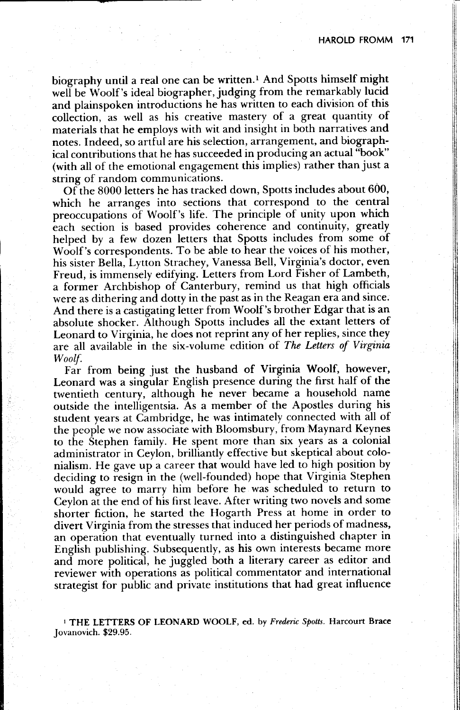li

biography until a real one can be written.<sup>1</sup> And Spotts himself might well be Woolf's ideal biographer, judging from the remarkably lucid and plainspoken introductions he has written to each division of this collection, as well as his creative mastery of a great quantity of materials that he employs with wit and insight in both narratives and notes. Indeed, so artful are his selection, arrangement, and biographical contributions that he has succeeded in producing an actual "book" (with all of the emotional engagement this implies) rather than just a string of random communications.

Of"the 8000 letters he has tracked down, Spotts includes about 600, which he arranges into sections that correspond to the central preoccupations of Woolf's life. The principle of unity upon which each section is based provides coherence and continuity, greatly helped by a few dozen letters that Spotts includes from some of Woolf 's correspondents. To be able to hear the voices of his mother, his sister Bella, Lytton Strachey, Vanessa Bell, Virginia's doctor, even Freud, is immensely edifying. Letters from Lord Fisher of Lambeth, a former Archbishop of Canterbury, remind us that high officials were as dithering and dotty in the past as in the Reagan era and since. And there is a castigating letter from Woolf's brother Edgar that is an absolute shocker. Although Spotts includes all the extant letters of Leonard to Virginia, he does not reprint any of her replies, since they are all available in the six-volume edition of The Letters of Virginia Woolf.

Far from being just the husband of Virginia Woolf, however, Leonard was a singular English presence during the first half of the twentieth century, although he never became a household name outside the intelligentsia. As a member of the Apostles during his student years at Cambridge, he was intimately connected with all of the people we now associate with Bloomsbury, from Maynard Keynes to the Stephen family. He spent more than six years as a colonial administrator in Ceylon, brilliantly effective but skeptical about colonialism. He gave up a career that would have led to high position by deciding to resign in the (well-founded) hope that Virginia Stephen would agree to marry him before he was scheduled to return to Ceylon at the end of his first leave. After writing two novels and some shorter fiction, he started the Hogarth Press at home in order to divert Virginia from the stresses that induced her periods of madness, an operation that eventually turned into a distinguished chapter in English publishing. Subsequently, as his own interests became more and more political, he juggled both a literary career as editor and reviewer with operations as political commentator and international strategist for public and private institutions that had great influence

<sup>1</sup> THE LETTERS OF LEONARD WOOLF, ed. by Frederic Spotts. Harcourt Brace Jovanovich. \$29.95.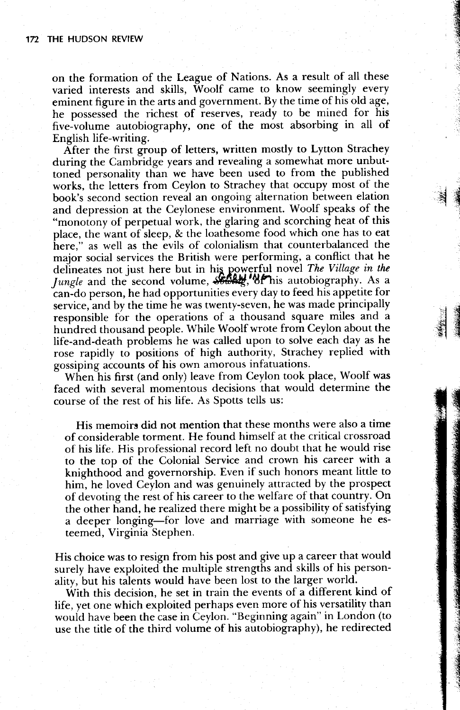on the formation of the League of Nations. As a result of all these varied interests and skills, Woolf came to know seemingly every eminent figure in the arts and government. By the time of his old age, he possessed the richest of reserves, ready to be mined for his five-volume autobiography, one of the most absorbing in all of English life-writing.

HE €

:i

r i .g

**x** 

\$ €

 $\ddot{\phantom{a}}$ Eq

After the first group of letters, written mostly to Lytton Strachey during the Cambridge years and revealing a somewhat more unbuttoned personality than we have been used to from the published works, the letters from Ceylon to Strachey that occupy most of the book's second section reveal an ongoing alternation between elation and depression at the Ceylonese environment. Woolf speaks of the "monotony of perpetual work, the glaring and scorching heat of this place, the want of sleep, & the loathesome food which one has to eat here," as well as the evils of colonialism that counterbalanced the major social services the British were performing, a conflict that he defineates not just here but in his powerful novel The Village in the *Jungle* and the second volume,  $\frac{\partial}{\partial x}$ , "of his autobiography. As a can-do person, he had opportunities every day to feed his appetite for service, and by the time he was twenty-seven, he was made principally responsible for the operations of a thousand square miles and a hundred thousand people. While Woolf wrote from Ceylon about the life-and-death problems he was called upon to solve each day as he rose. rapidly to positions of high authority, Strachey replied with gossiping accounts of his own amorous infatuations. -

When his first (and only) Ieave from Ceylon took place, Woolf was faced with several momentous decisions that would determine the course of the rest of his life. As Spotts tells us:

His memoirs did not mention that these months were also a time of considerable torment. He found himself at the critical crossroad of his life. His professional record left no doubt that he would rise to the top of the Colonial Service and crown his career with a knighthood and governorship. Even if such honors meant little to him, he loved Ceylon and was genuinely attracted by the prospect of devoting the rest of his career to the welfare of that country. On the other hand, he realized there might be a possibility of satisfying a deeper longing-for love and marriage with someone he esteemed, Virginia Stephen.

His choice was to resign from his post and give up a career that would surely have exploited the multiple strengths and skills of his personality, but his talents would have been lost to the larger world.

With this decision. he set in train the events of a different kind of life, yet one which exploited perhaps even more of his versatility than would have been the case in Ceylon. "Beginning again" in London (to use the title of the third volume of his autobiography), he redirected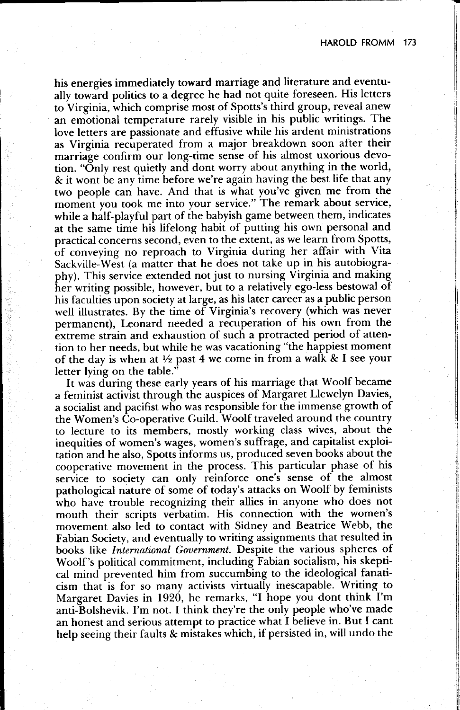his energies immediately toward marriage and literature and eventually toward politics to a degree he had not quite foreseen. His letters to Virginia, which comprise most of Spotts's third group, reveal anew an emotional temperature rarely visible in his public writings. The Iove letters are passionate and effusive while his ardent ministrations as Virginia recuperated from a major breakdown soon after their marriage confirm our long-time sense of his almost uxorious devotion. "Only rest quietly and dont worry about anything in the world, & it wont be any time before we're again having the best life that any two people can have. And that is what you've given me from the moment you took me into your service." The remark about service, while a half-playful part of the babyish game between them, indicates at the same iime his lifelong habit of putting his own personal and practical concerns second, even to the extent, as we learn from Spotts, of conveying no reproach to Virginia during her affair with Vita Sackville-West (a matter that he does not take up in his autobiography). This service extended not just to nursing Virginia and making her writing possible, however, but to a relatively ego-less bestowal of his faculties upon society at large, as his later career as a public person well illustrates. By the time of Virginia's recovery (which was never permanent), Leonard needed a recuperation of his own from the extreme strain and exhaustion of such a protracted period of attention to her needs, but while he was vacationing "the happiest moment of the day is when at  $\frac{1}{2}$  past 4 we come in from a walk & I see your letter lying on the table."

It was during these early years of his marriage that Woolf became a feminist activist through the auspices of Margaret Llewelyn Davies, a socialist and pacifist who was responsible for the immense growth of the Women's Co-operative Guild. Woolf traveled around the country to lecture to its members, mostly working class wives, about the inequities of women's wages, women's suffrage, and capitalist exploi tation and he also, Spotts informs us, produced seven books about the cooperative movement in the process. This particular phase of his service to society can only reinforce one's sense of the almost pathological nature of some of today's attacks on Woolf by feminists who have trouble recognizing their allies in anyone who does not mouth their scripts verbatim. His connection with the women's movement also led to contact with Sidney and Beatrice Webb, the Fabian Society, and eventually to writing assignments that resulted in books like International Government. Despite the various spheres of Woolf's political commitment, including Fabian socialism, his skepti cal mind prevented him from succumbing to the ideological fanaticism that is for so many activists virtually inescapable. Writing to Margaret Davies in 1920, he remarks, "I hope you dont think I'm anti-Bolshevik. I'm not. I think they're the only people who've made an honest and serious attempt to practice what I believe in. But I cant help seeing their faults & mistakes which, if persisted in, will undo the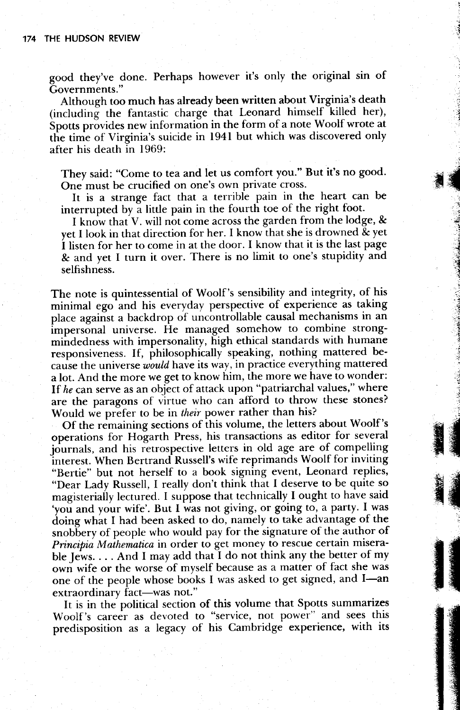good they've done. Perhaps however it's only the original sin of Governments,"

Although too much has already been written about Virginia's death (including the fantastic charge that Leonard himself killed her), Spotts provides new information in the form of a note Woolf wrote at the time of Virginia's suicide in 1941 but which was discovered only after his death in 1969:

They said: "Come to tea and let us comfort you." But it's no good. One must be crucified on one's own private cross.

-i t d

,i

. g ::t  $\mathbb{R}$ 

> ,-i . a ir:.i :1: 5 j

 $\blacksquare$ 5.5 ilfl F{E

tra 1999<br>March 1999<br>March 1999

nn an Chumadh an 1972.

It is a strange fact that a terrible pain in the heart can be interrupted by a little pain in the fourth toe of the right foot.

I know that V. will not come across the garden from the lodge, & yet I look in that direction for her. I know that she is drowned & yet i listen for her to come in at the door. I know that it is the last page & and yet I turn it over. There is no limit to one's stupidity and selfishness.

The note is quintessential of Woolf's sensibility and integrity, of his minimal ego and his everyday perspective of experience as taking place against a backdrop of uncontrollable causal mechanisms in an impersonal universe. He managed somehow to combine strongmindedness with impersonality, high ethical standards with humane responsiveness. If, philosophically speaking, nothing-mattered because the universe would have its way, in practice everything mattered a lot. And the more we get to know him, the more we have to wonder: If he can serve as an object of attack upon "patriarchal values," where are the paragons of virtue who can afford to throw these stones? Would we prefer to be in their power rather than his?

Of the remaining sections of ihis volume, the letters about Woolf 's operations for Hogarth Press, his transactions as editor for several journals, and his retrospective letters in old age are of compelling interest. When Bertrand Russell's wife reprimands Woolf for inviting "Bertie" but not herself to a book signing event, Leonard replies, "Dear Lady Russell, I really don't think that I deserve to be quite so magisteriaily lectured. I suppose that technically I ought to have said 'you and your wife'. But I was not giving, or going to, a party. I was doing what I had been asked to do, namely to take advantage of the snobbery of people who would pay for the signature of the author of Principia Mathematica in order to get money to rescue certain miserable Jews.  $\dots$  And I may add that I do not think any the better of my own wife or the worse of myself because as a matter of fact she was one of the people whose books I was asked to get signed, and I-an extraordinary fact—was not."

It is in the political section of this volume that Spotts summarizes Woolf's career as devoted to "service, not power" and sees this predisposition as a legacy of his Cambridge experience, with its